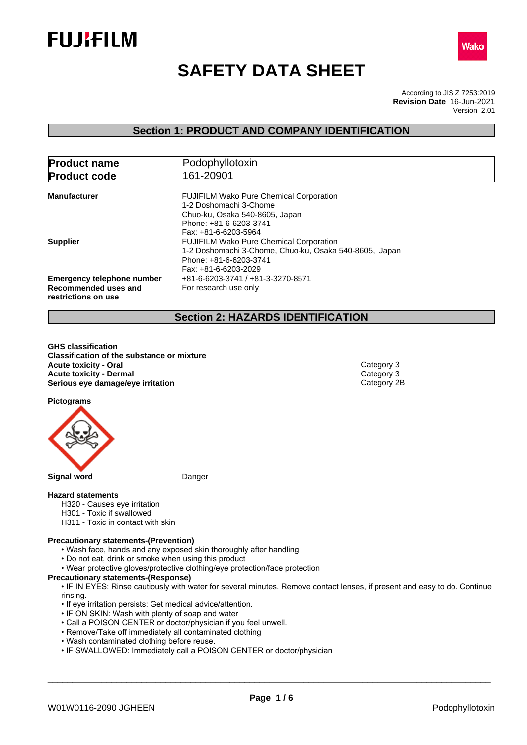



# **SAFETY DATA SHEET**

According to JIS Z 7253:2019 Version 2.01 **Revision Date** 16-Jun-2021

## **Section 1: PRODUCT AND COMPANY IDENTIFICATION**

| <b>Product name</b>                                                              | Podophyllotoxin                                                                                                                                              |
|----------------------------------------------------------------------------------|--------------------------------------------------------------------------------------------------------------------------------------------------------------|
| <b>Product code</b>                                                              | 161-20901                                                                                                                                                    |
| <b>Manufacturer</b>                                                              | <b>FUJIFILM Wako Pure Chemical Corporation</b><br>1-2 Doshomachi 3-Chome<br>Chuo-ku, Osaka 540-8605, Japan<br>Phone: +81-6-6203-3741<br>Fax: +81-6-6203-5964 |
| <b>Supplier</b>                                                                  | <b>FUJIFILM Wako Pure Chemical Corporation</b><br>1-2 Doshomachi 3-Chome, Chuo-ku, Osaka 540-8605, Japan<br>Phone: +81-6-6203-3741<br>Fax: +81-6-6203-2029   |
| <b>Emergency telephone number</b><br>Recommended uses and<br>restrictions on use | +81-6-6203-3741 / +81-3-3270-8571<br>For research use only                                                                                                   |

## **Section 2: HAZARDS IDENTIFICATION**

**GHS classification Classification of the substance or mixture Acute toxicity - Oral** Category 3 **Acute toxicity - Dermal** Category 3<br> **Serious eye damage/eye irritation**<br>
Category 2B **Serious** eye damage/eye irritation

**Pictograms**



**Signal word** Danger

## **Hazard statements**

- H320 Causes eye irritation
- H301 Toxic if swallowed
- H311 Toxic in contact with skin

### **Precautionary statements-(Prevention)**

- Wash face, hands and any exposed skin thoroughly after handling
- Do not eat, drink or smoke when using this product
- Wear protective gloves/protective clothing/eye protection/face protection

## **Precautionary statements-(Response)**

• IF IN EYES: Rinse cautiously with water for several minutes. Remove contact lenses, if present and easy to do. Continue rinsing.

- If eye irritation persists: Get medical advice/attention.
- IF ON SKIN: Wash with plenty of soap and water
- Call a POISON CENTER or doctor/physician if you feel unwell.
- Remove/Take off immediately all contaminated clothing
- Wash contaminated clothing before reuse.
- IF SWALLOWED: Immediately call a POISON CENTER or doctor/physician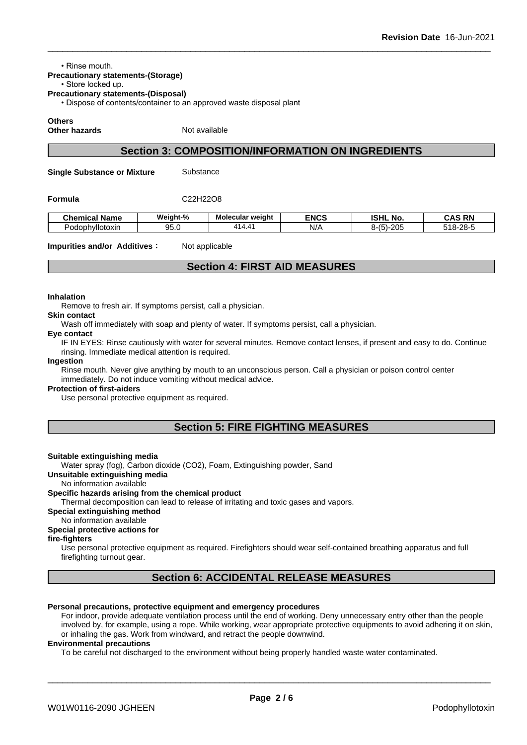• Rinse mouth

## **Precautionary statements-(Storage)**

## • Store locked up.

**Precautionary statements-(Disposal)**

• Dispose of contents/container to an approved waste disposal plant

**Others**

**Other hazards** Not available

## **Section 3: COMPOSITION/INFORMATION ON INGREDIENTS**

**Single Substance or Mixture** Substance

**Formula** C22H22O8

| . .<br><b>Chemical Name</b> | Weight-%  | Molecular weight | <b>ENCS</b> | <b>ISHL</b><br>. .<br>No.         | <b>AS RN</b> :<br>∴∆.                  |
|-----------------------------|-----------|------------------|-------------|-----------------------------------|----------------------------------------|
| llotoxin<br>∟∿<br>odophy    | ΩE<br>しいい | 11 A A           | N/A         | $\sim$<br>$\epsilon$<br>8-151-200 | $\sim$<br>$-10$<br>,,,<br>~<br>$\cdot$ |

#### **Impurities and/or Additives**: Not applicable

## **Section 4: FIRST AID MEASURES**

#### **Inhalation**

Remove to fresh air. If symptoms persist, call a physician.

## **Skin contact**

Wash off immediately with soap and plenty of water. If symptoms persist, call a physician.

## **Eye contact**

IF IN EYES: Rinse cautiously with water for several minutes. Remove contact lenses, if present and easy to do. Continue rinsing. Immediate medical attention is required.

#### **Ingestion**

Rinse mouth. Never give anything by mouth to an unconscious person. Call a physician or poison control center immediately. Do not induce vomiting without medical advice.

#### **Protection of first-aiders**

Use personal protective equipment as required.

## **Section 5: FIRE FIGHTING MEASURES**

#### **Suitable extinguishing media**

Water spray (fog), Carbon dioxide (CO2), Foam, Extinguishing powder, Sand

## **Unsuitable extinguishing media**

## No information available

## **Specific hazards arising from the chemical product**

Thermal decomposition can lead to release of irritating and toxic gases and vapors.

## **Special extinguishing method**

No information available

## **Special protective actions for**

## **fire-fighters**

Use personal protective equipment as required. Firefighters should wear self-contained breathing apparatus and full firefighting turnout gear.

## **Section 6: ACCIDENTAL RELEASE MEASURES**

#### **Personal precautions, protective equipment and emergency procedures**

For indoor, provide adequate ventilation process until the end of working. Deny unnecessary entry other than the people involved by, for example, using a rope. While working, wear appropriate protective equipments to avoid adhering it on skin, or inhaling the gas. Work from windward, and retract the people downwind.

#### **Environmental precautions**

To be careful not discharged to the environment without being properly handled waste water contaminated.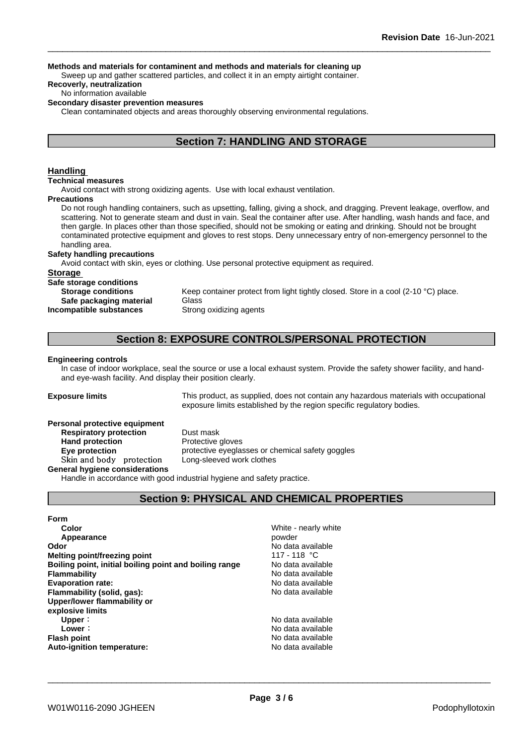#### **Methods and materials for contaminent and methods and materials for cleaning up**

Sweep up and gather scattered particles, and collect it in an empty airtight container.

## **Recoverly, neutralization**

No information available

## **Secondary disaster prevention measures**

Clean contaminated objects and areas thoroughly observing environmental regulations.

## **Section 7: HANDLING AND STORAGE**

## **Handling**

#### **Technical measures**

Avoid contact with strong oxidizing agents. Use with local exhaust ventilation.

## **Precautions**

Do not rough handling containers, such as upsetting, falling, giving a shock, and dragging. Prevent leakage, overflow, and scattering. Not to generate steam and dust in vain. Seal the container after use. After handling, wash hands and face, and then gargle. In places other than those specified, should not be smoking or eating and drinking. Should not be brought contaminated protective equipment and gloves to rest stops. Deny unnecessary entry of non-emergency personnel to the handling area.

## **Safety handling precautions**

Avoid contact with skin, eyes or clothing. Use personal protective equipment as required.

#### **Storage**

**Safe storage conditions**

**Safe packaging material** Glass **Incompatible substances** Strong oxidizing agents

**Storage conditions** Keep container protect from light tightly closed. Store in a cool (2-10 °C) place.

## **Section 8: EXPOSURE CONTROLS/PERSONAL PROTECTION**

#### **Engineering controls**

In case of indoor workplace, seal the source or use a local exhaust system. Provide the safety shower facility, and handand eye-wash facility. And display their position clearly.

**Exposure limits** This product, as supplied, does not contain any hazardous materials with occupational exposure limits established by the region specific regulatory bodies.

#### **Personal protective equipment**

**Respiratory protection** Dust mask Hand protection **Protective gloves** Skin and body protection

**Eye protection** protective eyeglasses or chemical safety goggles<br>
Skin and body protection Long-sleeved work clothes

#### **General hygiene considerations**

Handle in accordance with good industrial hygiene and safety practice.

## **Section 9: PHYSICAL AND CHEMICAL PROPERTIES**

**Form Color** White - nearly white **Appearance** powder **Odor Odor** No data available<br> **Melting point/freezing point According to the Contract of the Melting of the Melting Point Melting point/freezing point heating point** 117 - 118 °C<br> **Boiling point, initial boiling point and boiling range Modata available Boiling point, initial boiling point and boiling range Flammability No data available No data available No data available Evaporation rate:** No data available **Flammability (solid, gas):** No data available **Upper/lower flammability or explosive limits Upper**: No data available **Lower**: **No data available No data available Flash point No data available No data available Auto-ignition temperature:** No data available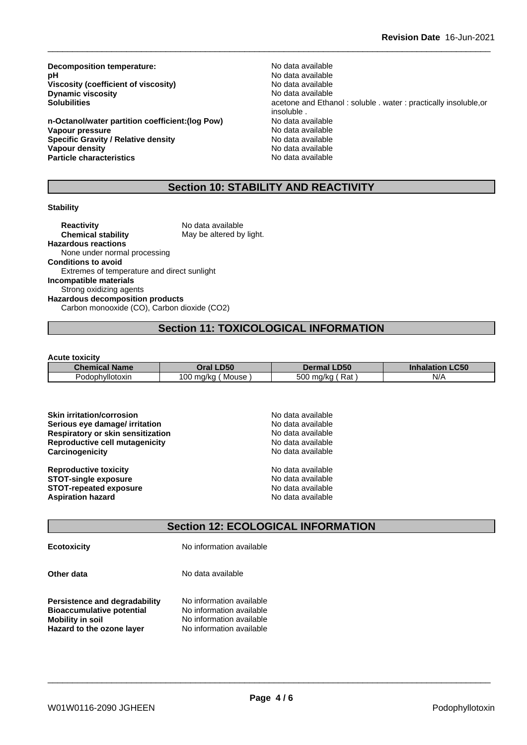**Decomposition temperature:**<br> **pH** No data available<br>
No data available **Viscosity** (coefficient of viscosity) **Dynamic viscosity**<br> **Solubilities**<br> **Solubilities**<br> **Solubilities** 

**n-Octanol/water partition coefficient:(log Pow) No data available<br>
<b>Vapour pressure** No data available **Vapour pressure Specific Gravity / Relative density No data available Vapour density No data available Particle characteristics** No data available

No data available<br>No data available acetone and Ethanol : soluble . water : practically insoluble,or insoluble .<br>No data available

## **Section 10: STABILITY AND REACTIVITY**

## **Stability**

**Reactivity** No data available **Chemical stability** May be altered by light. **Hazardous reactions** None under normal processing **Conditions to avoid** Extremes of temperature and direct sunlight **Incompatible materials** Strong oxidizing agents **Hazardous decomposition products** Carbon monooxide (CO), Carbon dioxide (CO2)

## **Section 11: TOXICOLOGICAL INFORMATION**

#### **Acute toxicity**

| <b>Chemical</b> | <b>D50</b>            | <b>LD50</b>           | $\_C50$    |
|-----------------|-----------------------|-----------------------|------------|
| ∣Name           | Эrа                   | Dermal                | ınnalatlon |
| Podophyllotoxin | 00ا<br>ma/ka<br>Mouse | 500<br>Rat<br>) ma/ka | $N$ /      |

| <b>Skin irritation/corrosion</b>         | No data available |
|------------------------------------------|-------------------|
| Serious eye damage/ irritation           | No data available |
| <b>Respiratory or skin sensitization</b> | No data available |
| <b>Reproductive cell mutagenicity</b>    | No data available |
| Carcinogenicity                          | No data available |
| <b>Reproductive toxicity</b>             | No data available |
| <b>STOT-single exposure</b>              | No data available |
| <b>STOT-repeated exposure</b>            | No data available |
| <b>Aspiration hazard</b>                 | No data available |

## **Section 12: ECOLOGICAL INFORMATION**

**Ecotoxicity** No information available

**Other data** No data available

**Persistence and degradability** No information available **Bioaccumulative potential** No information available **Mobility** in soil **No information available Hazard to the ozone layer** No information available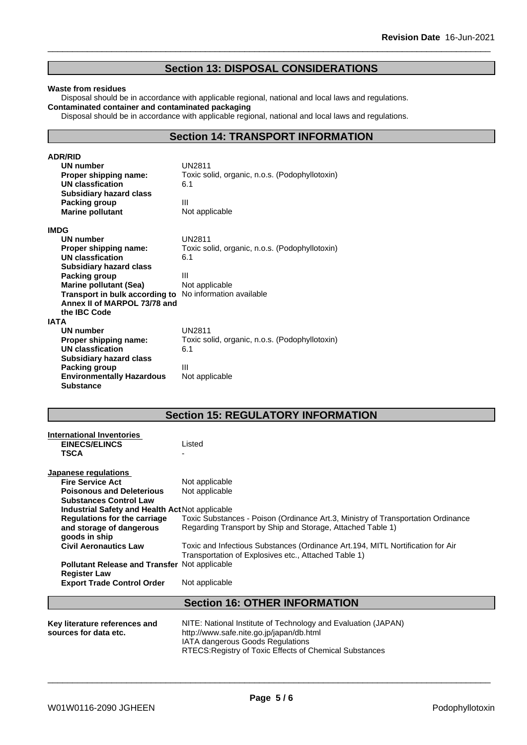## **Section 13: DISPOSAL CONSIDERATIONS**

#### **Waste from residues**

Disposal should be in accordance with applicable regional, national and local laws and regulations. **Contaminated container and contaminated packaging**

Disposal should be in accordance with applicable regional, national and local laws and regulations.

## **Section 14: TRANSPORT INFORMATION**

| <b>ADR/RID</b>                                                 |                                                |
|----------------------------------------------------------------|------------------------------------------------|
| <b>UN number</b>                                               | UN2811                                         |
| Proper shipping name:                                          | Toxic solid, organic, n.o.s. (Podophyllotoxin) |
| UN classfication                                               | 6.1                                            |
| <b>Subsidiary hazard class</b>                                 |                                                |
| Packing group                                                  | Ш                                              |
| <b>Marine pollutant</b>                                        | Not applicable                                 |
| <b>IMDG</b>                                                    |                                                |
| UN number                                                      | UN2811                                         |
| Proper shipping name:                                          | Toxic solid, organic, n.o.s. (Podophyllotoxin) |
| <b>UN classfication</b>                                        | 6.1                                            |
| <b>Subsidiary hazard class</b>                                 |                                                |
| Packing group                                                  | Ш                                              |
| <b>Marine pollutant (Sea)</b>                                  | Not applicable                                 |
| <b>Transport in bulk according to</b> No information available |                                                |
| Annex II of MARPOL 73/78 and                                   |                                                |
| the <b>IBC</b> Code                                            |                                                |
| <b>IATA</b>                                                    |                                                |
| UN number                                                      | <b>UN2811</b>                                  |
| Proper shipping name:                                          | Toxic solid, organic, n.o.s. (Podophyllotoxin) |
| <b>UN classfication</b>                                        | 6.1                                            |
| <b>Subsidiary hazard class</b>                                 |                                                |
| Packing group                                                  | Ш                                              |
| <b>Environmentally Hazardous</b>                               | Not applicable                                 |
| <b>Substance</b>                                               |                                                |

## **Section 15: REGULATORY INFORMATION**

| International Inventories                            |                                                                                  |
|------------------------------------------------------|----------------------------------------------------------------------------------|
| <b>EINECS/ELINCS</b>                                 | Listed                                                                           |
| <b>TSCA</b>                                          |                                                                                  |
|                                                      |                                                                                  |
| Japanese regulations                                 |                                                                                  |
| <b>Fire Service Act</b>                              | Not applicable                                                                   |
| <b>Poisonous and Deleterious</b>                     | Not applicable                                                                   |
| <b>Substances Control Law</b>                        |                                                                                  |
| Industrial Safety and Health Act Not applicable      |                                                                                  |
| <b>Regulations for the carriage</b>                  | Toxic Substances - Poison (Ordinance Art.3, Ministry of Transportation Ordinance |
| and storage of dangerous                             | Regarding Transport by Ship and Storage, Attached Table 1)                       |
| goods in ship                                        |                                                                                  |
| <b>Civil Aeronautics Law</b>                         | Toxic and Infectious Substances (Ordinance Art.194, MITL Nortification for Air   |
|                                                      | Transportation of Explosives etc., Attached Table 1)                             |
| <b>Pollutant Release and Transfer Not applicable</b> |                                                                                  |
| <b>Register Law</b>                                  |                                                                                  |
| <b>Export Trade Control Order</b>                    | Not applicable                                                                   |
|                                                      |                                                                                  |
|                                                      | <b>Section 16: OTHER INFORMATION</b>                                             |
|                                                      |                                                                                  |
| Key literature references and                        | NITE: National Institute of Technology and Evaluation (JAPAN)                    |
| sources for data etc.                                | http://www.safe.nite.go.jp/japan/db.html                                         |
|                                                      | IATA dangerous Goods Regulations                                                 |
|                                                      | RTECS: Registry of Toxic Effects of Chemical Substances                          |
|                                                      |                                                                                  |